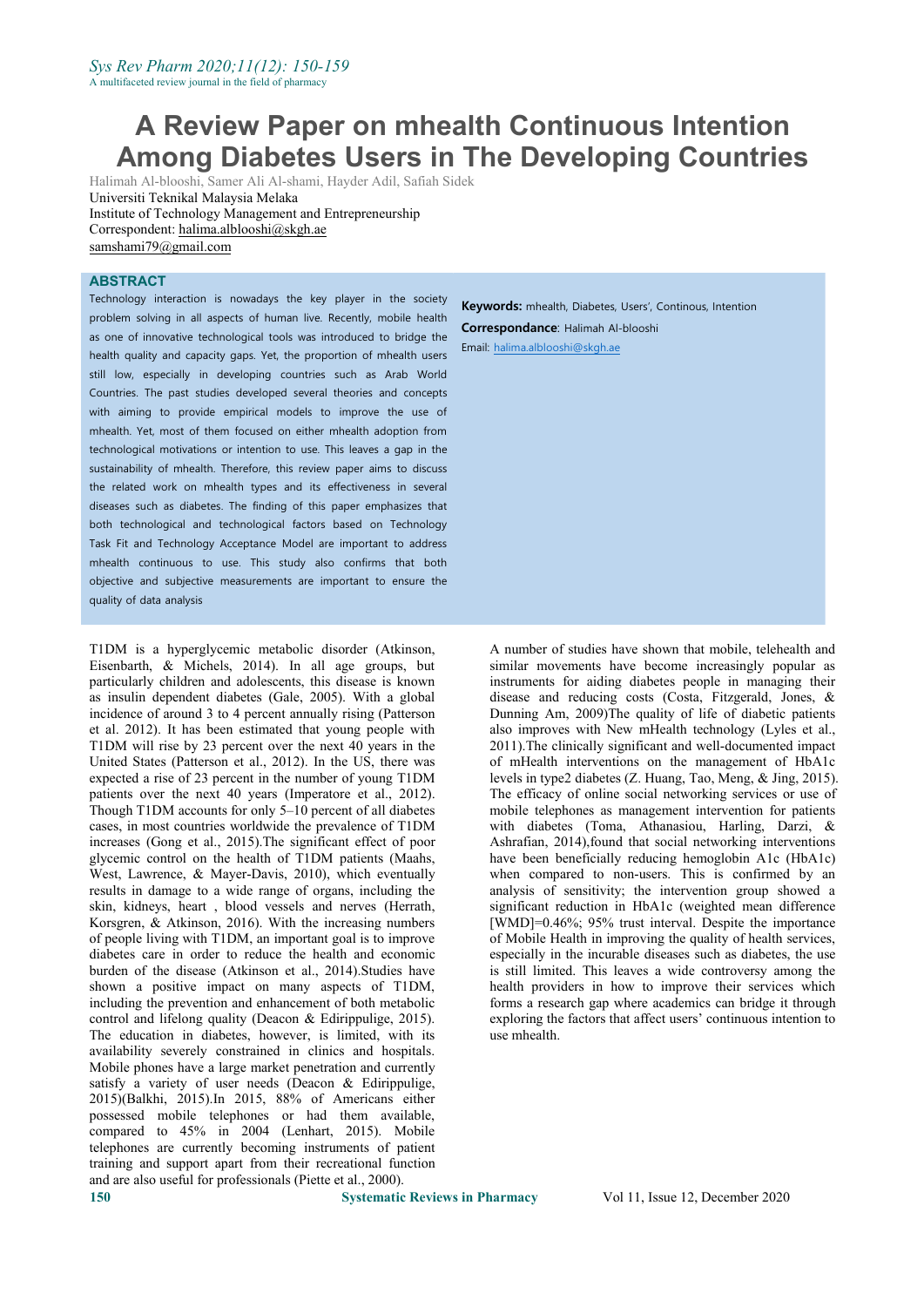# **A Review Paper on mhealth Continuous Intention Among Diabetes Users in The Developing Countries**

Halimah Al-blooshi,Samer Ali Al-shami, Hayder Adil, Safiah Sidek Universiti Teknikal Malaysia Melaka Institute of Technology Management and Entrepreneurship Correspondent: [halima.alblooshi@skgh.ae](mailto:halima.alblooshi@skgh.ae) [samshami79@gmail.com](mailto:samshami79@gmail.com)

## **ABSTRACT**

Technology interaction is nowadays the key player in the society problem solving in all aspects of human live. Recently, mobile health as one of innovative technological tools was introduced to bridge the health quality and capacity gaps. Yet, the proportion of mhealth users still low, especially in developing countries such as Arab World Countries. The past studies developed several theories and concepts with aiming to provide empirical models to improve the use of mhealth. Yet, most of them focused on either mhealth adoption from technological motivations or intention to use. This leaves a gap in the sustainability of mhealth. Therefore, this review paper aims to discuss the related work on mhealth types and its effectiveness in several diseases such as diabetes. The finding of this paper emphasizes that both technological and technological factors based on Technology Task Fit and Technology Acceptance Model are important to address mhealth continuous to use. This study also confirms that both objective and subjective measurements are important to ensure the quality of data analysis

T1DM is a hyperglycemic metabolic disorder (Atkinson, Eisenbarth, & Michels, 2014). In all age groups, but particularly children and adolescents, this disease is known as insulin dependent diabetes (Gale, 2005). With a global incidence of around 3 to 4 percent annually rising (Patterson et al. 2012). It has been estimated that young people with T1DM will rise by 23 percent over the next 40 years in the United States (Patterson et al., 2012). In the US, there was expected a rise of 23 percent in the number of young T1DM patients over the next 40 years (Imperatore et al., 2012). Though T1DM accounts for only  $5-10$  percent of all diabetes cases, in most countries worldwide the prevalence of T1DM increases (Gong et al., 2015).The significant effect of poor glycemic control on the health of T1DM patients (Maahs, West, Lawrence, & Mayer-Davis, 2010), which eventually results in damage to a wide range of organs, including the skin, kidneys, heart , blood vessels and nerves (Herrath, Korsgren, & Atkinson, 2016). With the increasing numbers of people living with T1DM, an important goal is to improve diabetes care in order to reduce the health and economic burden of the disease (Atkinson et al., 2014).Studies have shown a positive impact on many aspects of T1DM, including the prevention and enhancement of both metabolic control and lifelong quality (Deacon & Edirippulige, 2015). The education in diabetes, however, is limited, with its availability severely constrained in clinics and hospitals. Mobile phones have a large market penetration and currently satisfy a variety of user needs (Deacon & Edirippulige, 2015)(Balkhi, 2015). In 2015, 88% of Americans either possessed mobile telephones or had them available, compared to 45% in 2004 (Lenhart, 2015). Mobile telephones are currently becoming instruments of patient training and support apart from their recreational function and are also useful for professionals (Piette et al., 2000).

**Keywords:** mhealth, Diabetes, Users', Continous, Intention

**Correspondance**: Halimah Al-blooshi Email: [halima.alblooshi@skgh.ae](mailto:halima.alblooshi@skgh.ae)

> A number of studies have shown that mobile, telehealth and similar movements have become increasingly popular as instruments for aiding diabetes people in managing their disease and reducing costs (Costa, Fitzgerald, Jones, & Dunning Am, 2009)The quality of life of diabetic patients also improves with New mHealth technology (Lyles et al., 2011).The clinically significant and well-documented impact of mHealth interventions on the management of HbA1c levels in type2 diabetes (Z. Huang, Tao, Meng, & Jing, 2015). The efficacy of online social networking services or use of mobile telephones as management intervention for patients with diabetes (Toma, Athanasiou, Harling, Darzi, & Ashrafian, 2014),found that social networking interventions have been beneficially reducing hemoglobin A1c (HbA1c) when compared to non-users. This is confirmed by an analysis of sensitivity; the intervention group showed a significant reduction in HbA1c (weighted mean difference [WMD]=0.46%; 95% trust interval. Despite the importance of Mobile Health in improving the quality of health services, especially in the incurable diseases such as diabetes, the use is still limited. This leaves a wide controversy among the health providers in how to improve their services which forms a research gap where academics can bridge it through exploring the factors that affect users' continuous intention to use mhealth.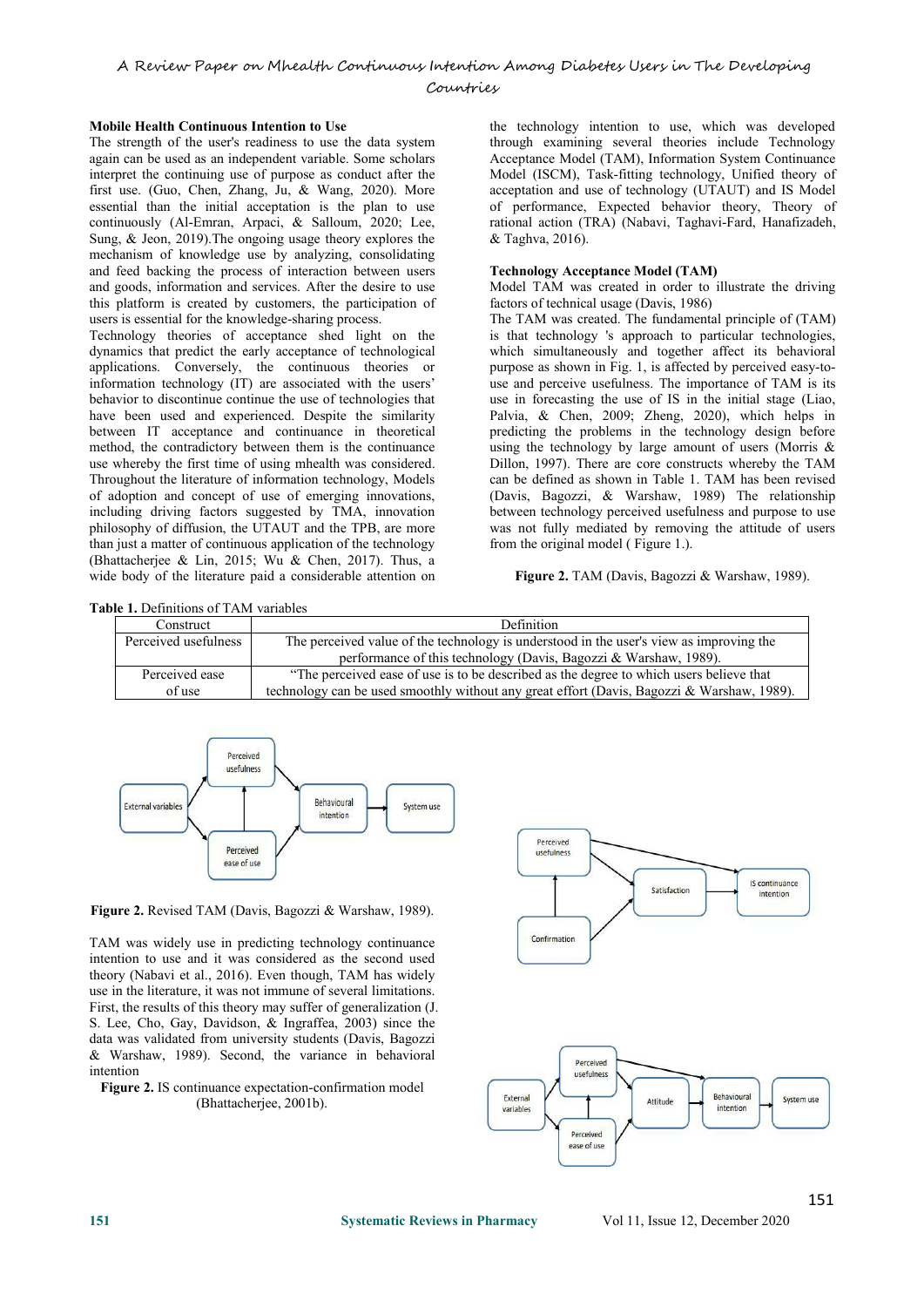## A Review Paper on Mhealth Continuous Intention Among Diabetes Users in The Developing

#### Countries

#### **Mobile Health Continuous Intention to Use**

The strength of the user's readiness to use the data system again can be used as an independent variable. Some scholars interpret the continuing use of purpose as conduct after the first use. (Guo, Chen, Zhang, Ju, & Wang, 2020). More essential than the initial acceptation is the plan to use continuously (Al-Emran, Arpaci, & Salloum, 2020; Lee, Sung, & Jeon, 2019).The ongoing usage theory explores the mechanism of knowledge use by analyzing, consolidating and feed backing the process of interaction between users and goods, information and services. After the desire to use this platform is created by customers, the participation of users is essential for the knowledge-sharing process.

Technology theories of acceptance shed light on the dynamics that predict the early acceptance of technological applications. Conversely, the continuous theories or information technology (IT) are associated with the users' behavior to discontinue continue the use of technologies that have been used and experienced. Despite the similarity between IT acceptance and continuance in theoretical method, the contradictory between them is the continuance use whereby the first time of using mhealth was considered. Throughout the literature of information technology, Models of adoption and concept of use of emerging innovations, including driving factors suggested by TMA, innovation philosophy of diffusion, the UTAUT and the TPB, are more than just a matter of continuous application of the technology (Bhattacherjee & Lin, 2015; Wu & Chen, 2017). Thus, a wide body of the literature paid a considerable attention on

the technology intention to use, which was developed through examining several theories include Technology Acceptance Model (TAM), Information System Continuance Model (ISCM), Task-fitting technology, Unified theory of acceptation and use of technology (UTAUT) and IS Model of performance, Expected behavior theory, Theory of rational action (TRA) (Nabavi, Taghavi-Fard, Hanafizadeh, & Taghva, 2016).

#### **Technology Acceptance Model (TAM)**

Model TAM was created in order to illustrate the driving factors of technical usage (Davis, 1986)

The TAM was created. The fundamental principle of (TAM) is that technology 's approach to particular technologies, which simultaneously and together affect its behavioral purpose as shown in Fig. 1, is affected by perceived easy-to use and perceive usefulness. The importance of TAM is its use in forecasting the use of IS in the initial stage (Liao, Palvia, & Chen, 2009; Zheng, 2020), which helps in predicting the problems in the technology design before using the technology by large amount of users (Morris & Dillon, 1997). There are core constructs whereby the TAM can be defined as shown in Table 1. TAM has been revised (Davis, Bagozzi, & Warshaw, 1989) The relationship between technology perceived usefulness and purpose to use was not fully mediated by removing the attitude of users from the original model ( Figure 1.).

**Figure 2.** TAM (Davis, Bagozzi & Warshaw, 1989).

Table 1. Definitions of TAM variables

| Construct            | <b>Definition</b>                                                                          |  |  |  |
|----------------------|--------------------------------------------------------------------------------------------|--|--|--|
| Perceived usefulness | The perceived value of the technology is understood in the user's view as improving the    |  |  |  |
|                      | performance of this technology (Davis, Bagozzi & Warshaw, 1989).                           |  |  |  |
| Perceived ease       | "The perceived ease of use is to be described as the degree to which users believe that    |  |  |  |
| of use               | technology can be used smoothly without any great effort (Davis, Bagozzi & Warshaw, 1989). |  |  |  |
|                      |                                                                                            |  |  |  |



**Figure 2.** Revised TAM (Davis, Bagozzi & Warshaw, 1989).

TAM was widely use in predicting technology continuance intention to use and it was considered as the second used theory (Nabavi et al., 2016). Even though, TAM has widely use in the literature, it was not immune of several limitations. First, the results of this theory may suffer of generalization (J. S. Lee, Cho, Gay, Davidson, & Ingraffea, 2003) since the data was validated from university students (Davis, Bagozzi & Warshaw, 1989). Second, the variance in behavioral intention

**Figure 2.** IS continuance expectation-confirmation model (Bhattacherjee, 2001b).

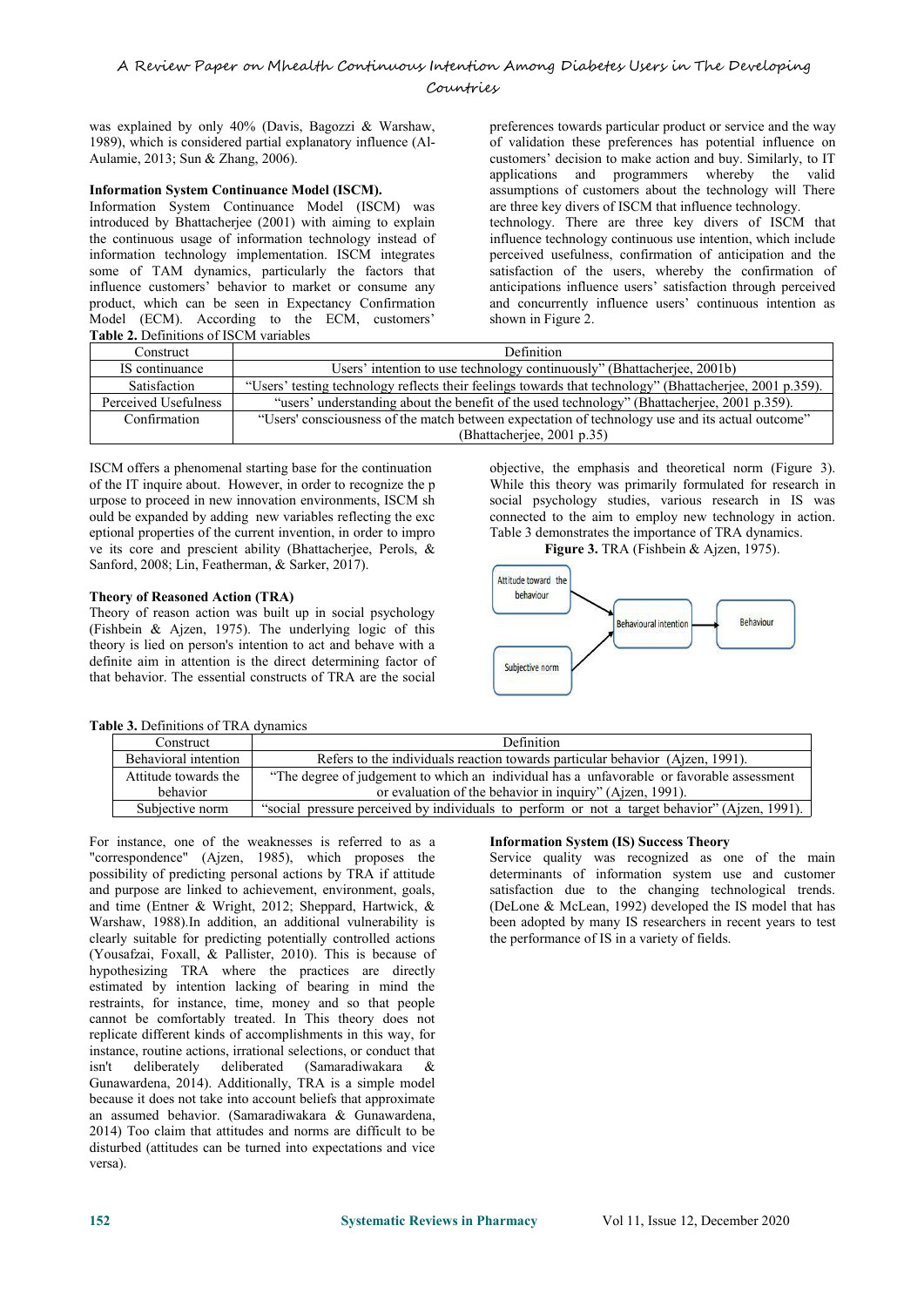was explained by only 40% (Davis, Bagozzi & Warshaw, 1989), which is considered partial explanatory influence (Al- Aulamie, 2013; Sun & Zhang, 2006).

#### **Information System Continuance Model (ISCM).**

Information System Continuance Model (ISCM) was introduced by Bhattacherjee (2001) with aiming to explain the continuous usage of information technology instead of information technology implementation. ISCM integrates some of TAM dynamics, particularly the factors that influence customers' behavior to market or consume any product, which can be seen in Expectancy Confirmation Model (ECM). According to the ECM, customers' **Table 2.** Definitions of ISCM variables

preferences towards particular product or service and the way of validation these preferences has potential influence on customers' decision to make action and buy. Similarly, to IT applications and programmers whereby the valid assumptions of customers about the technology will There are three key divers of ISCM that influence technology. technology. There are three key divers of ISCM that influence technology continuous use intention, which include perceived usefulness, confirmation of anticipation and the satisfaction of the users, whereby the confirmation of anticipations influence users' satisfaction through perceived and concurrently influence users' continuous intention as shown in Figure 2.

| Construct                                                                                                                | Definition                                                                                       |  |  |  |
|--------------------------------------------------------------------------------------------------------------------------|--------------------------------------------------------------------------------------------------|--|--|--|
| IS continuance<br>Users' intention to use technology continuously" (Bhattacherjee, 2001b)                                |                                                                                                  |  |  |  |
| "Users' testing technology reflects their feelings towards that technology" (Bhattacherjee, 2001 p.359).<br>Satisfaction |                                                                                                  |  |  |  |
| Perceived Usefulness<br>"users' understanding about the benefit of the used technology" (Bhattacherjee, 2001 p.359).     |                                                                                                  |  |  |  |
| Confirmation                                                                                                             | "Users' consciousness of the match between expectation of technology use and its actual outcome" |  |  |  |
| (Bhattacheriee, 2001 p.35)                                                                                               |                                                                                                  |  |  |  |

ISCM offers a phenomenal starting base for the continuation of the IT inquire about. However, in order to recognize the p urpose to proceed in new innovation environments, ISCM sh ould be expanded by adding new variables reflecting the exc eptional properties of the current invention, in order to impro ve its core and prescient ability (Bhattacherjee, Perols, & Sanford, 2008; Lin, Featherman, & Sarker, 2017).

## **Theory of Reasoned Action (TRA)**

Theory of reason action was built up in social psychology (Fishbein & Ajzen, 1975). The underlying logic of this theory is lied on person's intention to act and behave with a definite aim in attention is the direct determining factor of subjective norm that behavior. The essential constructs of TRA are the social

objective, the emphasis and theoretical norm (Figure 3). While this theory was primarily formulated for research in social psychology studies, various research in IS was connected to the aim to employ new technology in action. Table 3 demonstrates the importance of TRA dynamics.





#### **Table 3.** Definitions of TRA dynamics

| Construct            | <b>Definition</b>                                                                             |
|----------------------|-----------------------------------------------------------------------------------------------|
| Behavioral intention | Refers to the individuals reaction towards particular behavior (Ajzen, 1991).                 |
| Attitude towards the | "The degree of judgement to which an individual has a unfavorable or favorable assessment     |
| hehavior             | or evaluation of the behavior in inquiry" (Aizen, 1991).                                      |
| Subjective norm      | "social pressure perceived by individuals to perform or not a target behavior" (Ajzen, 1991). |

For instance, one of the weaknesses is referred to as a "correspondence" (Ajzen, 1985), which proposes the possibility of predicting personal actions by TRA if attitude and purpose are linked to achievement, environment, goals, and time (Entner & Wright, 2012; Sheppard, Hartwick, & Warshaw, 1988).In addition, an additional vulnerability is clearly suitable for predicting potentially controlled actions (Yousafzai, Foxall, & Pallister, 2010). This is because of hypothesizing TRA where the practices are directly estimated by intention lacking of bearing in mind the restraints, for instance, time, money and so that people cannot be comfortably treated. In This theory does not replicate different kinds of accomplishments in this way, for instance, routine actions, irrational selections, or conduct that isn't deliberately deliberated (Samaradiwakara & Gunawardena, 2014). Additionally, TRA is a simple model because it does not take into account beliefs that approximate an assumed behavior. (Samaradiwakara & Gunawardena, 2014) Too claim that attitudes and norms are difficult to be disturbed (attitudes can be turned into expectations and vice versa).

#### **Information System (IS) Success Theory**

Service quality was recognized as one of the main determinants of information system use and customer satisfaction due to the changing technological trends. (DeLone & McLean, 1992) developed the IS model that has been adopted by many IS researchers in recent years to test the performance of IS in a variety of fields.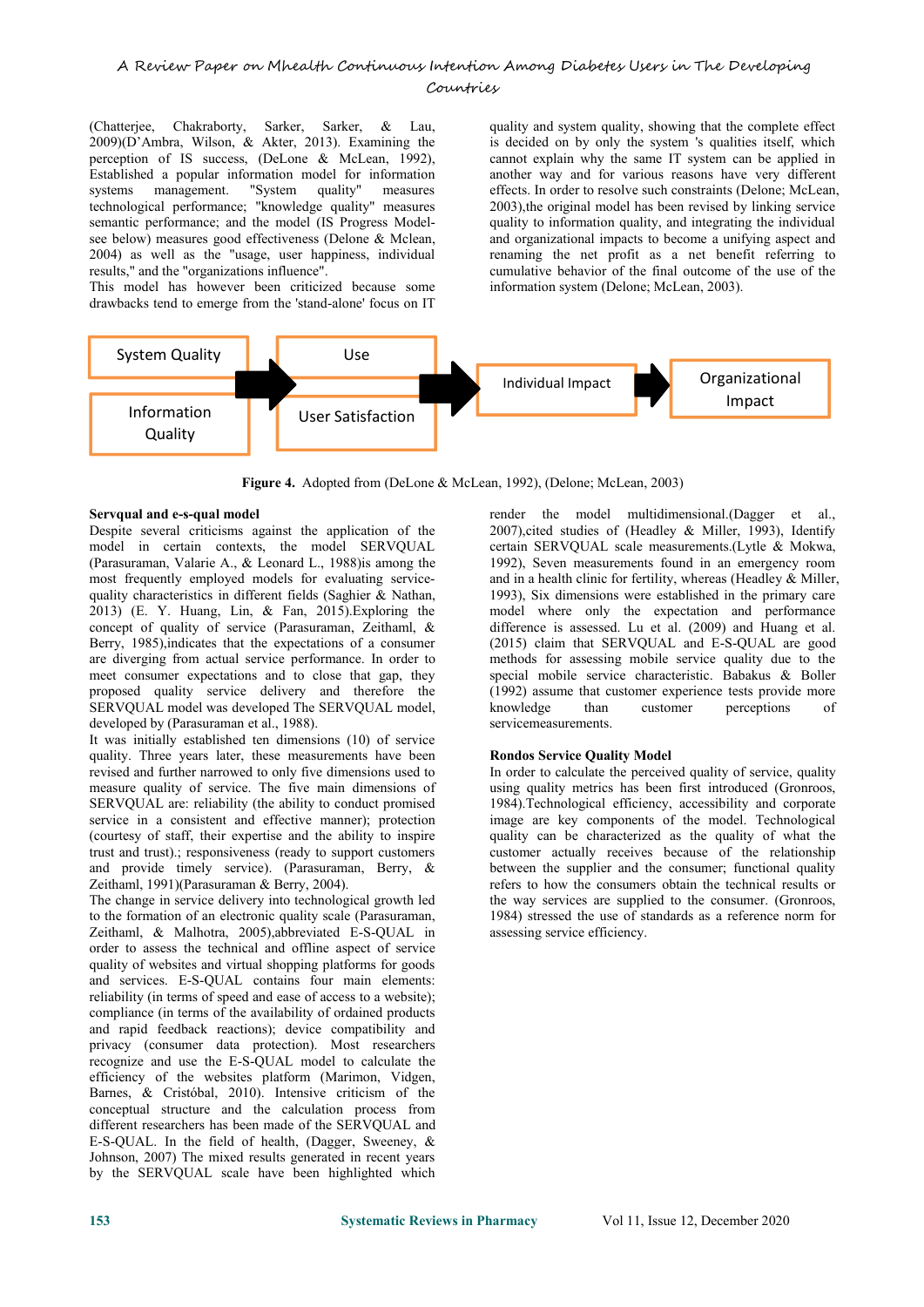## A Review Paper on Mhealth Continuous Intention Among Diabetes Users in The Developing Countries

(Chatterjee, Chakraborty, Sarker, Sarker, & Lau, 2009)(D'Ambra, Wilson, & Akter, 2013). Examining the perception of IS success, (DeLone & McLean, 1992), Established a popular information model for information systems management. "System quality" measures technological performance; "knowledge quality" measures semantic performance; and the model (IS Progress Modelsee below) measures good effectiveness (Delone & Mclean, 2004) as well as the "usage, user happiness, individual results," and the "organizations influence".

This model has however been criticized because some drawbacks tend to emerge from the 'stand-alone' focus on IT

quality and system quality, showing that the complete effect is decided on by only the system 's qualities itself, which cannot explain why the same IT system can be applied in another way and for various reasons have very different effects. In order to resolve such constraints (Delone; McLean, 2003),the original model has been revised by linking service quality to information quality, and integrating the individual and organizational impacts to become a unifying aspect and renaming the net profit as a net benefit referring to cumulative behavior of the final outcome of the use of the information system (Delone; McLean, 2003).



**Figure 4.** Adopted from (DeLone & McLean, 1992), (Delone; McLean, 2003)

#### **Servqual and e-s-qual model**

Despite several criticisms against the application of the model in certain contexts, the model SERVQUAL (Parasuraman, Valarie A., & Leonard L., 1988)is among the most frequently employed models for evaluating service quality characteristics in different fields (Saghier & Nathan, 2013) (E. Y. Huang, Lin, & Fan, 2015).Exploring the concept of quality of service (Parasuraman, Zeithaml, & Berry, 1985), indicates that the expectations of a consumer are diverging from actual service performance. In order to meet consumer expectations and to close that gap, they proposed quality service delivery and therefore the (1992) assumed SERVOUAL model was developed The SERVOUAL model. SERVOUAL model was developed The SERVOUAL model, developed by (Parasuraman et al., 1988).

It was initially established ten dimensions (10) of service quality. Three years later, these measurements have been revised and further narrowed to only five dimensions used to measure quality of service. The five main dimensions of SERVQUAL are: reliability (the ability to conduct promised service in a consistent and effective manner); protection (courtesy of staff, their expertise and the ability to inspire trust and trust).; responsiveness (ready to support customers and provide timely service). (Parasuraman, Berry, & Zeithaml, 1991)(Parasuraman & Berry, 2004).

The change in service delivery into technological growth led to the formation of an electronic quality scale (Parasuraman, Zeithaml, & Malhotra, 2005),abbreviated E-S-QUAL in order to assess the technical and offline aspect of service quality of websites and virtual shopping platforms for goods and services. E-S-QUAL contains four main elements: reliability (in terms of speed and ease of access to a website); compliance (in terms of the availability of ordained products and rapid feedback reactions); device compatibility and privacy (consumer data protection). Most researchers recognize and use the E-S-QUAL model to calculate the efficiency of the websites platform (Marimon, Vidgen, Barnes, & Cristóbal, 2010). Intensive criticism of the conceptual structure and the calculation process from different researchers has been made of the SERVQUAL and E-S-QUAL. In the field of health, (Dagger, Sweeney, & Johnson, 2007) The mixed results generated in recent years by the SERVQUAL scale have been highlighted which

render the model multidimensional.(Dagger et al., 2007),cited studies of (Headley & Miller, 1993), Identify certain SERVQUAL scale measurements.(Lytle & Mokwa, 1992), Seven measurements found in an emergency room and in a health clinic for fertility, whereas (Headley & Miller, 1993), Six dimensions were established in the primary care model where only the expectation and performance difference is assessed. Lu et al. (2009) and Huang et al. (2015) claim that SERVQUAL and E-S-QUAL are good methods for assessing mobile service quality due to the special mobile service characteristic. Babakus & Boller (1992) assume that customer experience tests provide more than customer perceptions of servicemeasurements.

#### **Rondos Service Quality Model**

In order to calculate the perceived quality of service, quality using quality metrics has been first introduced (Gronroos, 1984).Technological efficiency, accessibility and corporate image are key components of the model. Technological quality can be characterized as the quality of what the customer actually receives because of the relationship between the supplier and the consumer; functional quality refers to how the consumers obtain the technical results or the way services are supplied to the consumer. (Gronroos, 1984) stressed the use of standards as a reference norm for assessing service efficiency.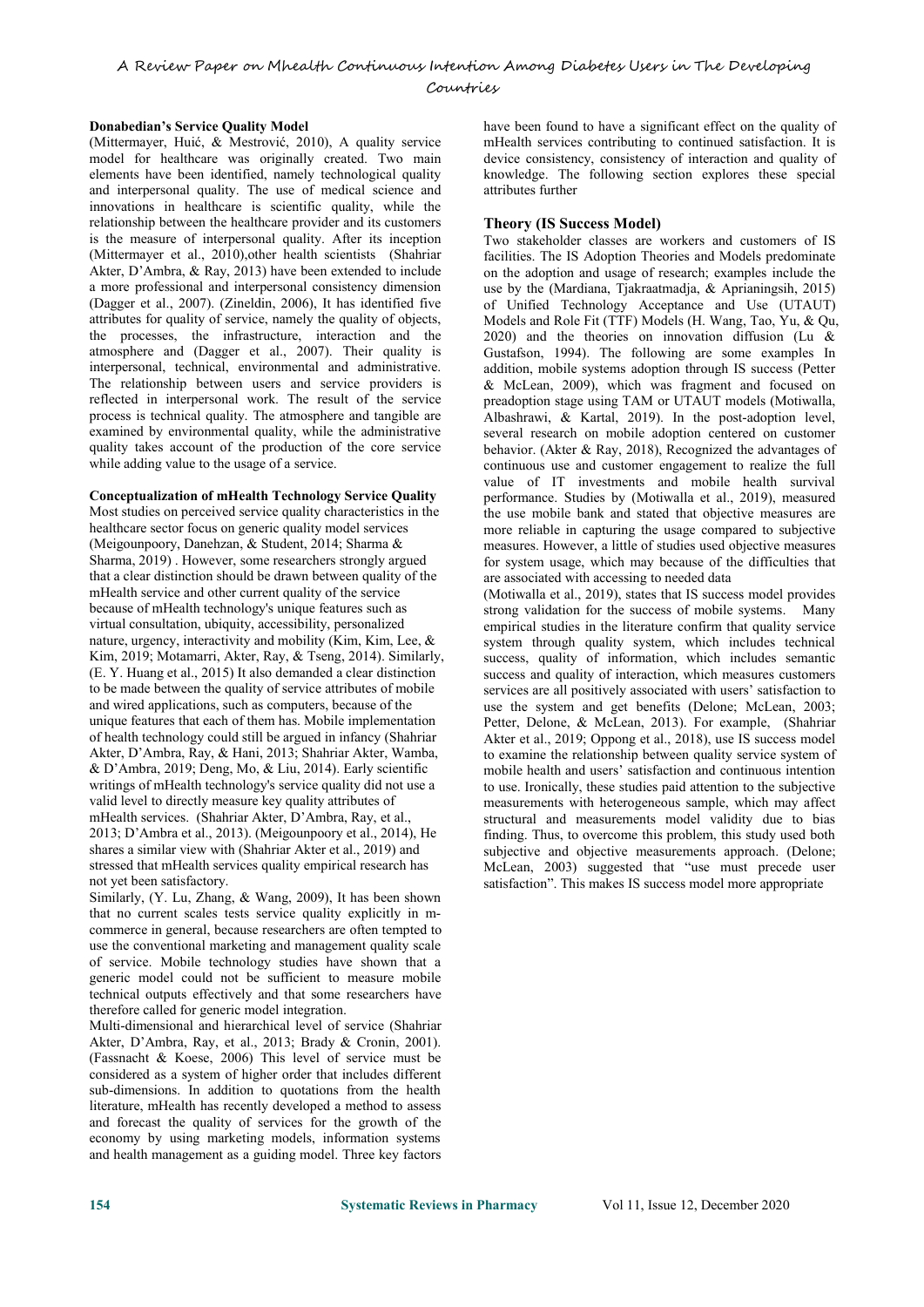A Review Paper on Mhealth Continuous Intention Among Diabetes Users in The Developing

Countries

#### **Donabedian's Service Quality Model**

(Mittermayer, Huić, & Mestrović, 2010), A quality service model for healthcare was originally created. Two main elements have been identified, namely technological quality and interpersonal quality. The use of medical science and innovations in healthcare is scientific quality, while the relationship between the healthcare provider and its customers is the measure of interpersonal quality. After its inception (Mittermayer et al., 2010),other health scientists (Shahriar Akter, D'Ambra, & Ray, 2013) have been extended to include a more professional and interpersonal consistency dimension (Dagger et al., 2007). (Zineldin, 2006), It has identified five attributes for quality of service, namely the quality of objects, the processes, the infrastructure, interaction and the atmosphere and (Dagger et al., 2007). Their quality is interpersonal, technical, environmental and administrative. The relationship between users and service providers is reflected in interpersonal work. The result of the service process is technical quality. The atmosphere and tangible are examined by environmental quality, while the administrative quality takes account of the production of the core service behavior. (Akter & Ray, 2018), Recognized the advantages of while adding value to the usage of a service.

#### **Conceptualization of mHealth Technology Service Quality**

Most studies on perceived service quality characteristics in the healthcare sector focus on generic quality model services (Meigounpoory, Danehzan, & Student, 2014; Sharma & Sharma, 2019) . However, some researchers strongly argued that a clear distinction should be drawn between quality of the mHealth service and other current quality of the service because of mHealth technology's unique features such as virtual consultation, ubiquity, accessibility, personalized nature, urgency, interactivity and mobility (Kim, Kim, Lee, & Kim, 2019; Motamarri, Akter, Ray, & Tseng, 2014). Similarly, (E. Y. Huang et al., 2015) It also demanded a clear distinction to be made between the quality of service attributes of mobile and wired applications, such as computers, because of the unique features that each of them has. Mobile implementation of health technology could still be argued in infancy (Shahriar Akter, D'Ambra, Ray, & Hani, 2013; Shahriar Akter, Wamba, & D'Ambra, 2019; Deng, Mo, & Liu, 2014). Early scientific writings of mHealth technology's service quality did not use a valid level to directly measure key quality attributes of mHealth services. (Shahriar Akter, D'Ambra, Ray, et al., 2013; D'Ambra et al., 2013). (Meigounpoory et al., 2014), He shares a similar view with (Shahriar Akter et al., 2019) and stressed that mHealth services quality empirical research has not yet been satisfactory.

Similarly, (Y. Lu, Zhang, & Wang, 2009), It has been shown that no current scales tests service quality explicitly in m commerce in general, because researchers are often tempted to use the conventional marketing and management quality scale of service. Mobile technology studies have shown that a generic model could not be sufficient to measure mobile technical outputs effectively and that some researchers have therefore called for generic model integration.

Multi-dimensional and hierarchical level of service (Shahriar Akter, D'Ambra, Ray, et al., 2013; Brady & Cronin, 2001). (Fassnacht & Koese, 2006) This level of service must be considered as a system of higher order that includes different sub-dimensions. In addition to quotations from the health literature, mHealth has recently developed a method to assess and forecast the quality of services for the growth of the economy by using marketing models, information systems and health management as a guiding model. Three key factors

have been found to have a significant effect on the quality of mHealth services contributing to continued satisfaction. It is device consistency, consistency of interaction and quality of knowledge. The following section explores these special attributes further

#### **Theory (IS Success Model)**

Two stakeholder classes are workers and customers of IS facilities. The IS Adoption Theories and Models predominate on the adoption and usage of research; examples include the use by the (Mardiana, Tjakraatmadja, & Aprianingsih, 2015) of Unified Technology Acceptance and Use (UTAUT) Models and Role Fit (TTF) Models (H. Wang, Tao, Yu, & Qu, 2020) and the theories on innovation diffusion (Lu & Gustafson, 1994). The following are some examples In addition, mobile systems adoption through IS success (Petter & McLean, 2009), which was fragment and focused on preadoption stage using TAM or UTAUT models (Motiwalla, Albashrawi, & Kartal, 2019). In the post-adoption level, several research on mobile adoption centered on customer continuous use and customer engagement to realize the full value of IT investments and mobile health survival performance. Studies by (Motiwalla et al., 2019), measured the use mobile bank and stated that objective measures are more reliable in capturing the usage compared to subjective measures. However, a little of studies used objective measures for system usage, which may because of the difficulties that are associated with accessing to needed data

(Motiwalla et al., 2019), states that IS success model provides strong validation for the success of mobile systems. Many empirical studies in the literature confirm that quality service system through quality system, which includes technical success, quality of information, which includes semantic success and quality of interaction, which measures customers services are all positively associated with users' satisfaction to use the system and get benefits (Delone; McLean, 2003; Petter, Delone, & McLean, 2013). For example, (Shahriar Akter etal., 2019; Oppong et al., 2018), use IS success model to examine the relationship between quality service system of mobile health and users' satisfaction and continuous intention to use. Ironically, these studies paid attention to the subjective measurements with heterogeneous sample, which may affect structural and measurements model validity due to bias finding. Thus, to overcome this problem, this study used both subjective and objective measurements approach. (Delone; McLean, 2003) suggested that "use must precede user satisfaction". This makes IS success model more appropriate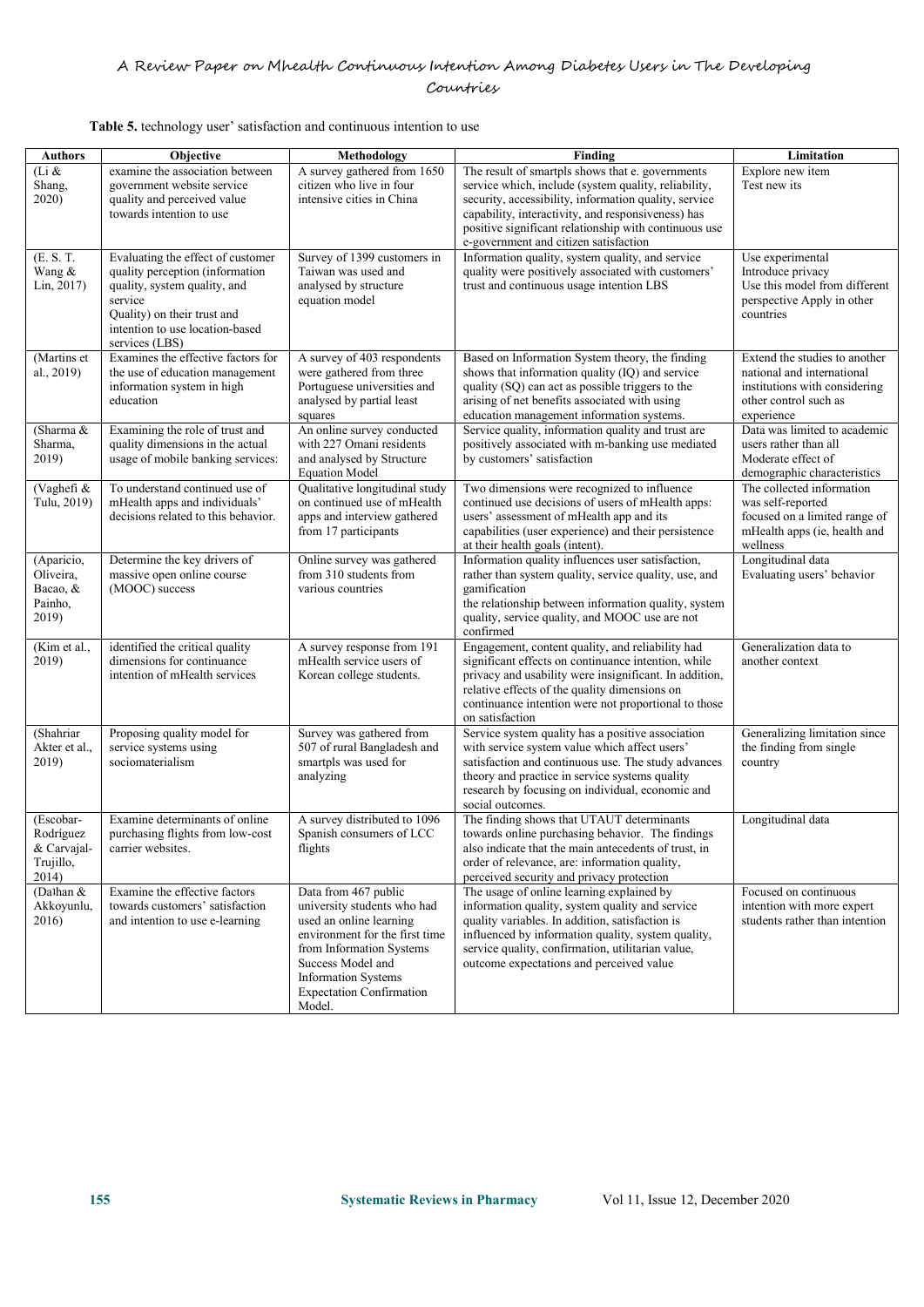## Countries

### **Table 5.** technology user' satisfaction and continuous intention to use

| <b>Authors</b>                                              | <b>Objective</b>                                                                                                                                                                                    | Methodology                                                                                                                                                                                                                                  | Finding                                                                                                                                                                                                                                                                                                                   | Limitation                                                                                                                          |
|-------------------------------------------------------------|-----------------------------------------------------------------------------------------------------------------------------------------------------------------------------------------------------|----------------------------------------------------------------------------------------------------------------------------------------------------------------------------------------------------------------------------------------------|---------------------------------------------------------------------------------------------------------------------------------------------------------------------------------------------------------------------------------------------------------------------------------------------------------------------------|-------------------------------------------------------------------------------------------------------------------------------------|
| (Li &<br>Shang,<br>2020)                                    | examine the association between<br>government website service<br>quality and perceived value<br>towards intention to use                                                                            | A survey gathered from 1650<br>citizen who live in four<br>intensive cities in China                                                                                                                                                         | The result of smartpls shows that e. governments<br>service which, include (system quality, reliability,<br>security, accessibility, information quality, service<br>capability, interactivity, and responsiveness) has<br>positive significant relationship with continuous use<br>e-government and citizen satisfaction | Explore new item<br>Test new its                                                                                                    |
| (E. S. T.<br>Wang &<br>Lin, 2017)                           | Evaluating the effect of customer<br>quality perception (information<br>quality, system quality, and<br>service<br>Quality) on their trust and<br>intention to use location-based<br>services (LBS) | Survey of 1399 customers in<br>Taiwan was used and<br>analysed by structure<br>equation model                                                                                                                                                | Information quality, system quality, and service<br>quality were positively associated with customers'<br>trust and continuous usage intention LBS                                                                                                                                                                        | Use experimental<br>Introduce privacy<br>Use this model from different<br>perspective Apply in other<br>countries                   |
| (Martins et<br>al., 2019)                                   | Examines the effective factors for<br>the use of education management<br>information system in high<br>education                                                                                    | A survey of 403 respondents<br>were gathered from three<br>Portuguese universities and<br>analysed by partial least<br>squares                                                                                                               | Based on Information System theory, the finding<br>shows that information quality (IQ) and service<br>quality (SQ) can act as possible triggers to the<br>arising of net benefits associated with using<br>education management information systems.                                                                      | Extend the studies to another<br>national and international<br>institutions with considering<br>other control such as<br>experience |
| (Sharma &<br>Sharma,<br>2019)                               | Examining the role of trust and<br>quality dimensions in the actual<br>usage of mobile banking services:                                                                                            | An online survey conducted<br>with 227 Omani residents<br>and analysed by Structure<br><b>Equation Model</b>                                                                                                                                 | Service quality, information quality and trust are<br>positively associated with m-banking use mediated<br>by customers' satisfaction                                                                                                                                                                                     | Data was limited to academic<br>users rather than all<br>Moderate effect of<br>demographic characteristics                          |
| (Vaghefi &<br>Tulu, 2019)                                   | To understand continued use of<br>mHealth apps and individuals'<br>decisions related to this behavior.                                                                                              | Qualitative longitudinal study<br>on continued use of mHealth<br>apps and interview gathered<br>from 17 participants                                                                                                                         | Two dimensions were recognized to influence<br>continued use decisions of users of mHealth apps:<br>users' assessment of mHealth app and its<br>capabilities (user experience) and their persistence<br>at their health goals (intent).                                                                                   | The collected information<br>was self-reported<br>focused on a limited range of<br>mHealth apps (ie, health and<br>wellness         |
| (Aparicio,<br>Oliveira,<br>Bacao, &<br>Painho,<br>2019)     | Determine the key drivers of<br>massive open online course<br>(MOOC) success                                                                                                                        | Online survey was gathered<br>from 310 students from<br>various countries                                                                                                                                                                    | Information quality influences user satisfaction,<br>rather than system quality, service quality, use, and<br>gamification<br>the relationship between information quality, system<br>quality, service quality, and MOOC use are not<br>confirmed                                                                         | Longitudinal data<br>Evaluating users' behavior                                                                                     |
| (Kim et al.,<br>2019)                                       | identified the critical quality<br>dimensions for continuance<br>intention of mHealth services                                                                                                      | A survey response from 191<br>mHealth service users of<br>Korean college students.                                                                                                                                                           | Engagement, content quality, and reliability had<br>significant effects on continuance intention, while<br>privacy and usability were insignificant. In addition,<br>relative effects of the quality dimensions on<br>continuance intention were not proportional to those<br>on satisfaction                             | Generalization data to<br>another context                                                                                           |
| $\overline{\text{(Shahriar)}}$<br>Akter et al.,<br>2019)    | Proposing quality model for<br>service systems using<br>sociomaterialism                                                                                                                            | Survey was gathered from<br>507 of rural Bangladesh and<br>smartpls was used for<br>analyzing                                                                                                                                                | Service system quality has a positive association<br>with service system value which affect users'<br>satisfaction and continuous use. The study advances<br>theory and practice in service systems quality<br>research by focusing on individual, economic and<br>social outcomes.                                       | Generalizing limitation since<br>the finding from single<br>country                                                                 |
| (Escobar-<br>Rodríguez<br>& Carvajal-<br>Trujillo,<br>2014) | Examine determinants of online<br>purchasing flights from low-cost<br>carrier websites.                                                                                                             | A survey distributed to 1096<br>Spanish consumers of LCC<br>flights                                                                                                                                                                          | The finding shows that UTAUT determinants<br>towards online purchasing behavior. The findings<br>also indicate that the main antecedents of trust, in<br>order of relevance, are: information quality,<br>perceived security and privacy protection                                                                       | Longitudinal data                                                                                                                   |
| (Dalhan $&$<br>Akkoyunlu,<br>2016)                          | Examine the effective factors<br>towards customers' satisfaction<br>and intention to use e-learning                                                                                                 | Data from 467 public<br>university students who had<br>used an online learning<br>environment for the first time<br>from Information Systems<br>Success Model and<br><b>Information Systems</b><br><b>Expectation Confirmation</b><br>Model. | The usage of online learning explained by<br>information quality, system quality and service<br>quality variables. In addition, satisfaction is<br>influenced by information quality, system quality,<br>service quality, confirmation, utilitarian value,<br>outcome expectations and perceived value                    | Focused on continuous<br>intention with more expert<br>students rather than intention                                               |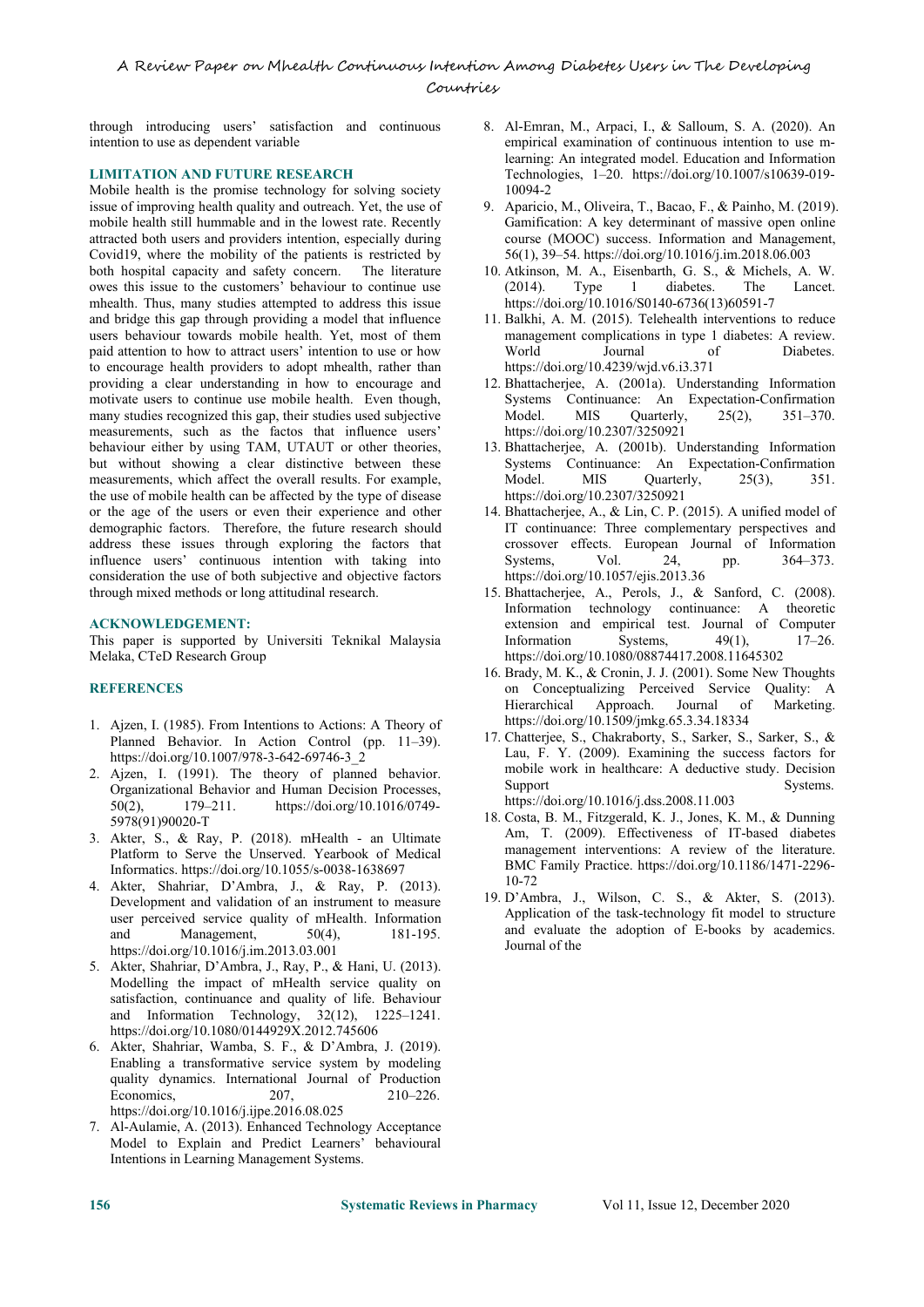through introducing users' satisfaction and continuous intention to use as dependent variable

#### **LIMITATION AND FUTURE RESEARCH**

Mobile health is the promise technology for solving society issue of improving health quality and outreach. Yet, the use of mobile health still hummable and in the lowest rate. Recently attracted both users and providers intention, especially during Covid19, where the mobility of the patients is restricted by both hospital capacity and safety concern. The literature owes this issue to the customers' behaviour to continue use (2014). mhealth. Thus, many studies attempted to address this issue and bridge this gap through providing a model that influence users behaviour towards mobile health. Yet, most of them paid attention to how to attract users' intention to use or how to encourage health providers to adopt mhealth, rather than providing a clear understanding in how to encourage and motivate users to continue use mobile health. Even though, many studies recognized this gap, their studies used subjective measurements, such as the factos that influence users' behaviour either by using TAM, UTAUT or other theories, but without showing a clear distinctive between these measurements, which affect the overall results. For example, Model. the use of mobile health can be affected by the type of disease or the age of the users or even their experience and other demographic factors. Therefore, the future research should address these issues through exploring the factors that influence users' continuous intention with taking into consideration the use of both subjective and objective factors through mixed methods or long attitudinal research.

#### **ACKNOWLEDGEMENT:**

This paper is supported by Universiti Teknikal Malaysia Melaka, CTeD Research Group

#### **REFERENCES**

- 1. Ajzen, I. (1985). From Intentions to Actions: A Theory of Planned Behavior. In Action Control (pp. 11-39). https://doi.org/10.1007/978-3-642-69746-3\_2
- 2. Ajzen, I. (1991). The theory of planned behavior. mobile<br>Organizational Behavior and Human Docision Processes. Support Organizational Behavior and Human Decision Processes, 50(2), 179–211. https://doi.org/10.1016/0749-50(2), 179–211. https://doi.org/10.1016/0749- 5978(91)90020-T
- 3. Akter, S., & Ray, P. (2018). mHealth an Ultimate Platform to Serve the Unserved. Yearbook of Medical Informatics. https://doi.org/10.1055/s-0038-1638697
- 4. Akter, Shahriar, D'Ambra, J., & Ray, P. (2013). Development and validation of an instrument to measure user perceived service quality of mHealth. Information and Management, 50(4), 181-195. https://doi.org/10.1016/j.im.2013.03.001
- 5. Akter, Shahriar, D'Ambra, J., Ray, P., & Hani, U. (2013). Modelling the impact of mHealth service quality on satisfaction, continuance and quality of life. Behaviour and Information Technology, 32(12), 1225–1241. https://doi.org/10.1080/0144929X.2012.745606
- 6. Akter, Shahriar, Wamba, S. F., & D'Ambra, J. (2019). Enabling a transformative service system by modeling quality dynamics.International Journal of Production Economics. 207, 210–226. https://doi.org/10.1016/j.ijpe.2016.08.025
- 7. Al-Aulamie, A. (2013). Enhanced Technology Acceptance Model to Explain and Predict Learners' behavioural Intentions in Learning Management Systems.
- 8. Al-Emran, M., Arpaci, I., & Salloum, S. A. (2020).An empirical examination of continuous intention to use mlearning: An integrated model. Education and Information Technologies, 1–20. https://doi.org/10.1007/s10639-019- 10094-2
- 9. Aparicio, M., Oliveira, T., Bacao, F., & Painho, M. (2019). Gamification: A key determinant of massive open online course (MOOC) success. Information and Management, 56(1), 39–54. https://doi.org/10.1016/j.im.2018.06.003
- 10. Atkinson, M. A., Eisenbarth, G. S., & Michels, A. W. Type 1 diabetes. The Lancet. https://doi.org/10.1016/S0140-6736(13)60591-7
- 11. Balkhi, A. M. (2015). Telehealth interventions to reduce management complications in type 1 diabetes: A review. of Diabetes. https://doi.org/10.4239/wjd.v6.i3.371
- 12. Bhattacherjee, A. (2001a). Understanding Information Systems Continuance: An Expectation-Confirmation MIS Quarterly, 25(2), 351-370. https://doi.org/10.2307/3250921
- 13. Bhattacherjee, A. (2001b). Understanding Information Systems Continuance: An Expectation-Confirmation MIS Quarterly,  $25(3)$ ,  $351$ . https://doi.org/10.2307/3250921
- 14. Bhattacherjee, A., & Lin, C. P. (2015). A unified model of IT continuance: Three complementary perspectives and crossover effects. European Journal of Information Systems, Vol. 24, pp. 364–373. https://doi.org/10.1057/ejis.2013.36
- 15. Bhattacherjee, A., Perols, J., & Sanford, C. (2008). Information technology continuance: A theoretic extension and empirical test. Journal of Computer<br>Information Systems,  $49(1)$ ,  $17-26$ . Information Systems, https://doi.org/10.1080/08874417.2008.11645302
- 16. Brady, M. K., & Cronin, J. J. (2001). Some New Thoughts on Conceptualizing Perceived Service Quality: A Hierarchical Approach. Journal of Marketing. https://doi.org/10.1509/jmkg.65.3.34.18334
- 17. Chatterjee, S., Chakraborty, S., Sarker, S., Sarker, S., & Lau, F. Y. (2009). Examining the success factors for mobile work in healthcare: A deductive study. Decision Systems. https://doi.org/10.1016/j.dss.2008.11.003
- 18. Costa, B. M., Fitzgerald, K. J., Jones, K. M., & Dunning Am, T. (2009). Effectiveness of IT-based diabetes management interventions: A review of the literature. BMC Family Practice. https://doi.org/10.1186/1471-2296-10-72
- 19. D'Ambra, J., Wilson, C. S., & Akter, S. (2013). Application of the task-technology fit model to structure and evaluate the adoption of E-books by academics. Journal of the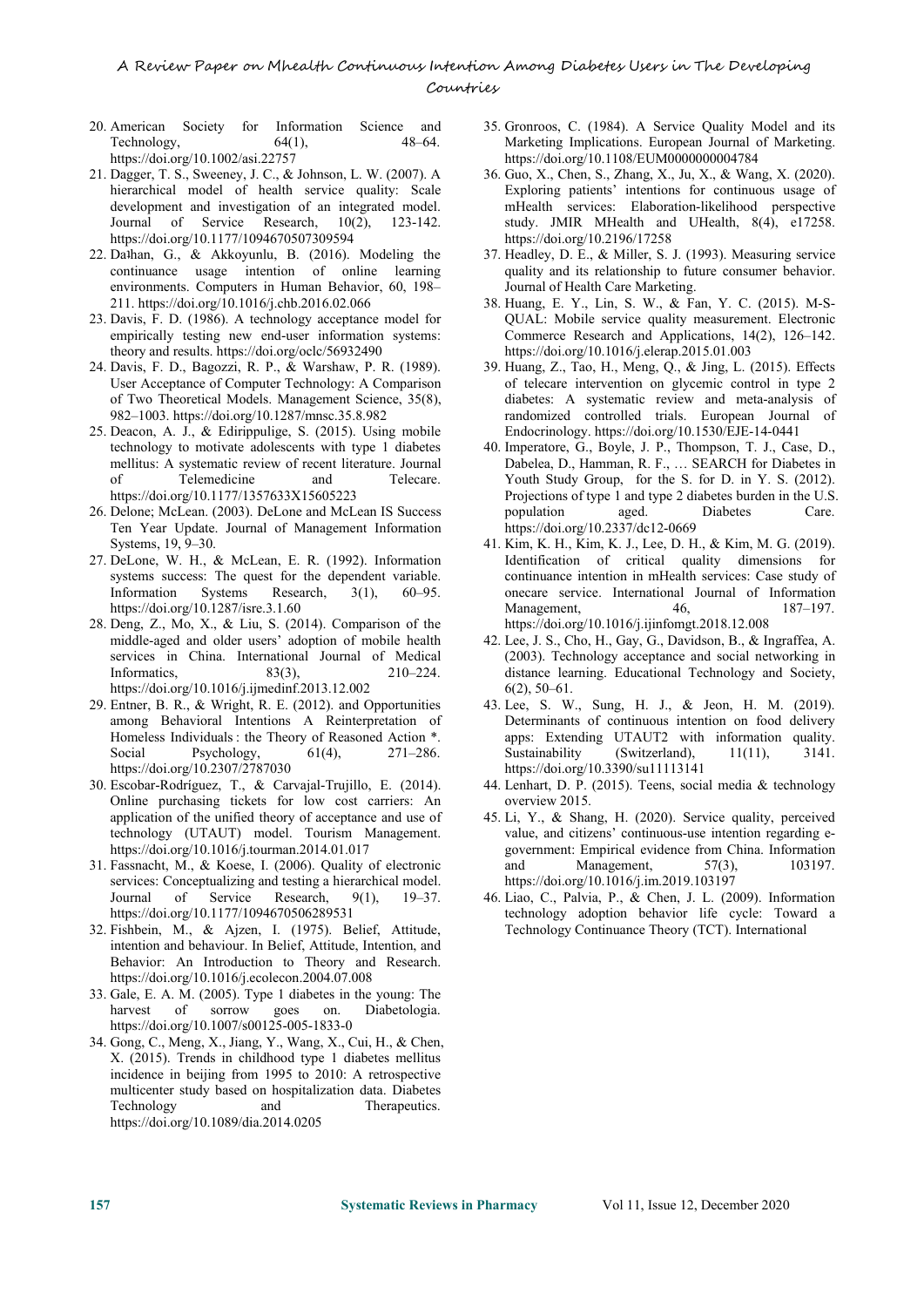## A Review Paper on Mhealth Continuous Intention Among Diabetes Users in The Developing Conuntries

- 20. American Society for Information Science and Technology,  $64(1)$ ,  $48-64$ . https://doi.org/10.1002/asi.22757
- 21. Dagger, T. S., Sweeney, J. C., & Johnson, L. W. (2007). A hierarchical model of health service quality: Scale development and investigation of an integrated model. Journal of Service Research, 10(2), 123-142. https://doi.org/10.1177/1094670507309594
- 22. Daʇhan, G., & Akkoyunlu, B. (2016). Modeling the continuance usage intention of online learning environments. Computers in Human Behavior, 60, 198– 211. https://doi.org/10.1016/j.chb.2016.02.066
- 23. Davis, F. D. (1986). A technology acceptance model for empirically testing new end-user information systems: theory and results. https://doi.org/oclc/56932490
- 24. Davis, F. D., Bagozzi, R. P., & Warshaw, P. R. (1989). User Acceptance of Computer Technology: A Comparison of Two Theoretical Models. Management Science, 35(8), 982–1003. https://doi.org/10.1287/mnsc.35.8.982
- 25. Deacon, A. J., & Edirippulige, S. (2015). Using mobile technology to motivate adolescents with type 1 diabetes mellitus: A systematic review of recent literature. Journal<br>of Telemedicine and Telecare. Telemedicine and Telecare. https://doi.org/10.1177/1357633X15605223
- 26. Delone; McLean. (2003). DeLone and McLean IS Success Ten Year Update. Journal of Management Information Systems, 19, 9–30.
- 27. DeLone, W. H., & McLean, E. R. (1992). Information systems success: The quest for the dependent variable. Information Systems Research, 3(1), 60–95. https://doi.org/10.1287/isre.3.1.60
- 28. Deng, Z., Mo, X., & Liu, S. (2014). Comparison of the middle-aged and older users' adoption of mobile health services in China. International Journal of Medical Informatics, 83(3), 210–224. https://doi.org/10.1016/j.ijmedinf.2013.12.002
- 29. Entner, B. R., & Wright, R. E. (2012). and Opportunities among Behavioral Intentions A Reinterpretation of Homeless Individuals : the Theory of Reasoned Action \*. Social Psychology,  $61(4)$ ,  $271-286$ . Sustainability https://doi.org/10.2307/2787030
- 30. Escobar-Rodríguez, T., & Carvajal-Trujillo, E. (2014). Online purchasing tickets for low cost carriers: An application of the unified theory of acceptance and use of technology (UTAUT) model. Tourism Management. https://doi.org/10.1016/j.tourman.2014.01.017
- 31. Fassnacht, M., & Koese, I. (2006). Quality of electronic services: Conceptualizing and testing a hierarchical model. Journal of Service Research, 9(1), 19–37. https://doi.org/10.1177/1094670506289531
- 32. Fishbein, M., & Ajzen, I. (1975). Belief, Attitude, intention and behaviour. In Belief, Attitude, Intention, and Behavior: An Introduction to Theory and Research. https://doi.org/10.1016/j.ecolecon.2004.07.008
- 33. Gale, E. A. M. (2005). Type 1 diabetes in the young: The harvest of sorrow goes on. Diabetologia. https://doi.org/10.1007/s00125-005-1833-0
- 34. Gong, C., Meng, X., Jiang, Y., Wang, X., Cui, H., & Chen, X. (2015). Trends in childhood type 1 diabetes mellitus incidence in beijing from 1995 to 2010: A retrospective multicenter study based on hospitalization data. Diabetes Technology and Therapeutics. https://doi.org/10.1089/dia.2014.0205
- 35. Gronroos, C. (1984). A Service Quality Model and its Marketing Implications. European Journal of Marketing. https://doi.org/10.1108/EUM0000000004784
- 36. Guo, X., Chen, S., Zhang, X., Ju, X., & Wang, X. (2020). Exploring patients' intentions for continuous usage of mHealth services: Elaboration-likelihood perspective study. JMIR MHealth and UHealth, 8(4), e17258. https://doi.org/10.2196/17258
- 37. Headley, D. E., & Miller, S. J. (1993). Measuring service quality and its relationship to future consumer behavior. Journal of Health Care Marketing.
- 38. Huang, E. Y., Lin, S. W., & Fan, Y. C. (2015). M-S- QUAL: Mobile service quality measurement. Electronic Commerce Research and Applications, 14(2), 126–142. https://doi.org/10.1016/j.elerap.2015.01.003
- 39. Huang, Z., Tao, H., Meng, Q., & Jing, L. (2015). Effects of telecare intervention on glycemic control in type 2 diabetes: A systematic review and meta-analysis of randomized controlled trials. European Journal of Endocrinology. https://doi.org/10.1530/EJE-14-0441
- 40. Imperatore, G., Boyle, J. P., Thompson, T. J., Case, D., Dabelea, D., Hamman, R. F., … SEARCH for Diabetes in Youth Study Group, for the S. for D. in Y. S. (2012). Projections of type 1 and type 2 diabetes burden in the U.S. population aged. Diabetes Care. https://doi.org/10.2337/dc12-0669
- 41. Kim, K. H., Kim, K. J., Lee, D. H., & Kim, M. G. (2019). Identification of critical quality dimensions for continuance intention in mHealth services: Case study of onecare service. International Journal of Information Management, 46, 187–197. https://doi.org/10.1016/j.ijinfomgt.2018.12.008
- 42. Lee, J. S., Cho, H., Gay, G., Davidson, B., & Ingraffea, A. (2003). Technology acceptance and social networking in distance learning. Educational Technology and Society, 6(2), 50–61.
- 43. Lee, S. W., Sung, H. J., & Jeon, H. M. (2019). Determinants of continuous intention on food delivery apps: Extending UTAUT2 with information quality.  $(Switzerland),$  11(11), 3141. https://doi.org/10.3390/su11113141
- 44. Lenhart, D. P. (2015). Teens, social media & technology overview 2015.
- 45. Li, Y., & Shang, H. (2020). Service quality, perceived value, and citizens' continuous-use intention regarding e government: Empirical evidence from China. Information Management, 57(3), 103197. https://doi.org/10.1016/j.im.2019.103197
- 46. Liao, C., Palvia, P., & Chen, J. L. (2009). Information technology adoption behavior life cycle: Toward a Technology Continuance Theory (TCT). International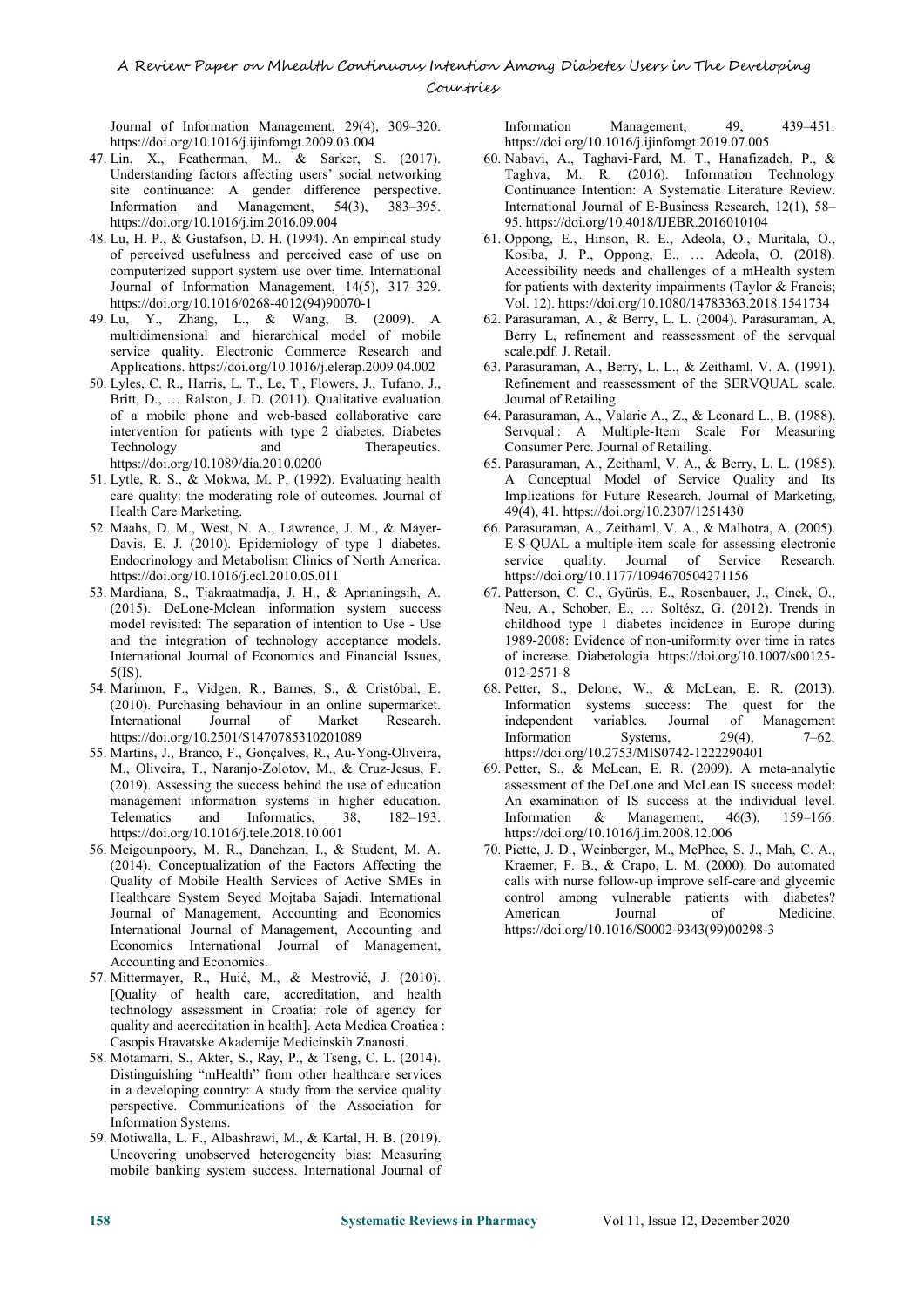Journal of Information Management, 29(4), 309–320. https://doi.org/10.1016/j.ijinfomgt.2009.03.004

- 47. Lin, X., Featherman, M., & Sarker, S. (2017). Understanding factors affecting users' social networking site continuance: A gender difference perspective. Information and Management, 54(3), 383–395. https://doi.org/10.1016/j.im.2016.09.004
- 48. Lu, H. P., & Gustafson, D. H. (1994). An empirical study of perceived usefulness and perceived ease of use on computerized support system use over time. International Journal of Information Management, 14(5), 317–329. https://doi.org/10.1016/0268-4012(94)90070-1
- 49. Lu, Y., Zhang, L., & Wang, B. (2009). A multidimensional and hierarchical model of mobile service quality. Electronic Commerce Research and Applications. https://doi.org/10.1016/j.elerap.2009.04.002 63. Parasuraman, A., Berry, L. L., & Zeithaml, V. A. (1991).
- 50. Lyles, C. R., Harris, L. T., Le, T., Flowers, J., Tufano, J., Britt, D., … Ralston, J. D. (2011). Qualitative evaluation of a mobile phone and web-based collaborative care intervention for patients with type 2 diabetes. Diabetes Technology and Therapeutics. https://doi.org/10.1089/dia.2010.0200
- 51. Lytle, R. S., & Mokwa, M. P. (1992). Evaluating health care quality: the moderating role of outcomes. Journal of Health Care Marketing.
- 52. Maahs, D. M., West, N. A., Lawrence, J. M., & Mayer- Davis, E. J. (2010). Epidemiology of type 1 diabetes. E-S-QU.<br>Endocrinology and Metabolism Clinics of North America. service Endocrinology and Metabolism Clinics of North America. https://doi.org/10.1016/j.ecl.2010.05.011
- 53. Mardiana, S., Tjakraatmadja, J. H., & Aprianingsih, A. (2015). DeLone-Mclean information system success model revisited: The separation of intention to Use - Use and the integration of technology acceptance models. International Journal of Economics and Financial Issues, 5(IS).
- 54. Marimon, F., Vidgen, R., Barnes, S., & Cristóbal, E. (2010). Purchasing behaviour in an online supermarket. International Journal of Market Research. https://doi.org/10.2501/S1470785310201089
- 55. Martins, J., Branco, F., Gonçalves, R., Au-Yong-Oliveira, M., Oliveira, T., Naranjo-Zolotov, M., & Cruz-Jesus, F. (2019). Assessing the success behind the use of education management information systems in higher education. Telematics and Informatics, 38, 182–193. https://doi.org/10.1016/j.tele.2018.10.001
- 56. Meigounpoory, M. R., Danehzan, I., & Student, M. A. (2014). Conceptualization of the Factors Affecting the Quality of Mobile Health Services of Active SMEs in Healthcare System Seyed Mojtaba Sajadi. International Journal of Management, Accounting and Economics International Journal of Management, Accounting and Economics International Journal of Management,
- Accounting and Economics.<br>57. Mittermayer, R., Huić, M., & Mestrović, J. (2010). [Quality of health care, accreditation, and health technology assessment in Croatia: role of agency for quality and accreditation in health]. Acta Medica Croatica : Casopis Hravatske Akademije Medicinskih Znanosti.
- 58. Motamarri, S., Akter, S., Ray, P., & Tseng, C. L. (2014). Distinguishing "mHealth" from other healthcare services in a developing country: A study from the service quality perspective. Communications of the Association for Information Systems.
- 59. Motiwalla, L. F., Albashrawi, M., & Kartal, H. B. (2019). Uncovering unobserved heterogeneity bias: Measuring mobile banking system success. International Journal of

Management, 49, 439–451. https://doi.org/10.1016/j.ijinfomgt.2019.07.005

- 60. Nabavi, A., Taghavi-Fard, M. T., Hanafizadeh, P., & Taghva, M. R. (2016). Information Technology Continuance Intention: A Systematic Literature Review. International Journal of E-Business Research, 12(1), 58– 95. https://doi.org/10.4018/IJEBR.2016010104
- 61. Oppong, E., Hinson, R. E., Adeola, O., Muritala, O., Kosiba, J. P., Oppong, E., … Adeola, O. (2018). Accessibility needs and challenges of a mHealth system for patients with dexterity impairments (Taylor & Francis; Vol. 12). https://doi.org/10.1080/14783363.2018.1541734
- 62. Parasuraman, A., & Berry, L. L. (2004). Parasuraman, A, Berry L, refinement and reassessment of the servqual scale.pdf. J. Retail.
- Refinement and reassessment of the SERVQUAL scale. Journal of Retailing.
- 64. Parasuraman, A., Valarie A., Z., & Leonard L., B. (1988). Servqual : A Multiple-Item Scale For Measuring Consumer Perc. Journal of Retailing.
- 65. Parasuraman, A., Zeithaml, V. A., & Berry, L. L. (1985). A Conceptual Model of Service Quality and Its Implications for Future Research. Journal of Marketing, 49(4), 41. https://doi.org/10.2307/1251430
- 66. Parasuraman, A., Zeithaml, V. A., & Malhotra, A. (2005). E-S-QUAL a multiple-item scale for assessing electronic quality. Journal of Service Research. https://doi.org/10.1177/1094670504271156
- 67. Patterson, C. C., Gyürüs, E., Rosenbauer, J., Cinek, O., Neu, A., Schober, E., … Soltész, G. (2012). Trends in childhood type 1 diabetes incidence in Europe during 1989-2008: Evidence of non-uniformity over time in rates of increase. Diabetologia. https://doi.org/10.1007/s00125- 012-2571-8
- 68. Petter, S., Delone, W., & McLean, E. R. (2013). Information systems success: The quest for the variables. Journal of Management<br>Systems,  $29(4)$ ,  $7-62$ . Information https://doi.org/10.2753/MIS0742-1222290401
- 69. Petter, S., & McLean, E. R. (2009). A meta-analytic assessment of the DeLone and McLean IS success model: An examination of IS success at the individual level. Information & Management, 46(3), 159–166. https://doi.org/10.1016/j.im.2008.12.006
- 70. Piette, J. D., Weinberger, M., McPhee, S. J., Mah, C. A., Kraemer, F. B., & Crapo, L. M. (2000). Do automated calls with nurse follow-up improve self-care and glycemic vulnerable patients with diabetes? American Journal of Medicine. https://doi.org/10.1016/S0002-9343(99)00298-3